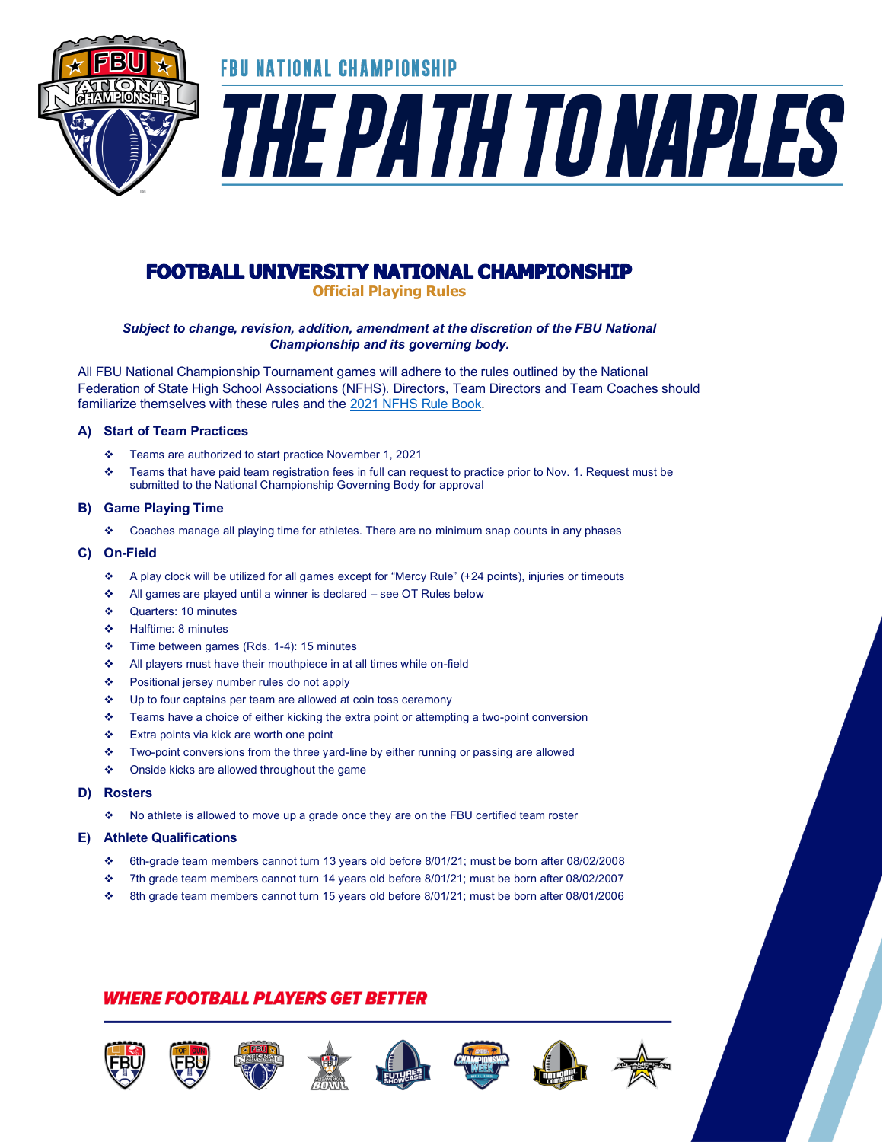

## **FOOTBALL UNIVERSITY NATIONAL CHAMPIONSHIP**

**Official Playing Rules**

### *Subject to change, revision, addition, amendment at the discretion of the FBU National Championship and its governing body.*

All FBU National Championship Tournament games will adhere to the rules outlined by the National Federation of State High School Associations (NFHS). Directors, Team Directors and Team Coaches should familiarize themselves with these rules and th[e 2021 NFHS Rule Book.](https://www.nfhs.org/activities-sports/football/)

### **A) Start of Team Practices**

- ❖ Teams are authorized to start practice November 1, 2021
- ❖ Teams that have paid team registration fees in full can request to practice prior to Nov. 1. Request must be submitted to the National Championship Governing Body for approval

### **B) Game Playing Time**

❖ Coaches manage all playing time for athletes. There are no minimum snap counts in any phases

### **C) On-Field**

- ❖ A play clock will be utilized for all games except for "Mercy Rule" (+24 points), injuries or timeouts
- All games are played until a winner is declared see OT Rules below
- ❖ Quarters: 10 minutes
- ❖ Halftime: 8 minutes
- ❖ Time between games (Rds. 1-4): 15 minutes
- ❖ All players must have their mouthpiece in at all times while on-field
- ❖ Positional jersey number rules do not apply
- ❖ Up to four captains per team are allowed at coin toss ceremony
- ❖ Teams have a choice of either kicking the extra point or attempting a two-point conversion
- ❖ Extra points via kick are worth one point
- ❖ Two-point conversions from the three yard-line by either running or passing are allowed
- ❖ Onside kicks are allowed throughout the game
- **D) Rosters** 
	- ❖ No athlete is allowed to move up a grade once they are on the FBU certified team roster

### **E) Athlete Qualifications**

- ❖ 6th-grade team members cannot turn 13 years old before 8/01/21; must be born after 08/02/2008
- ❖ 7th grade team members cannot turn 14 years old before 8/01/21; must be born after 08/02/2007
- ❖ 8th grade team members cannot turn 15 years old before 8/01/21; must be born after 08/01/2006

### *WHERE FOOTBALL PLAYERS GET BETTER*













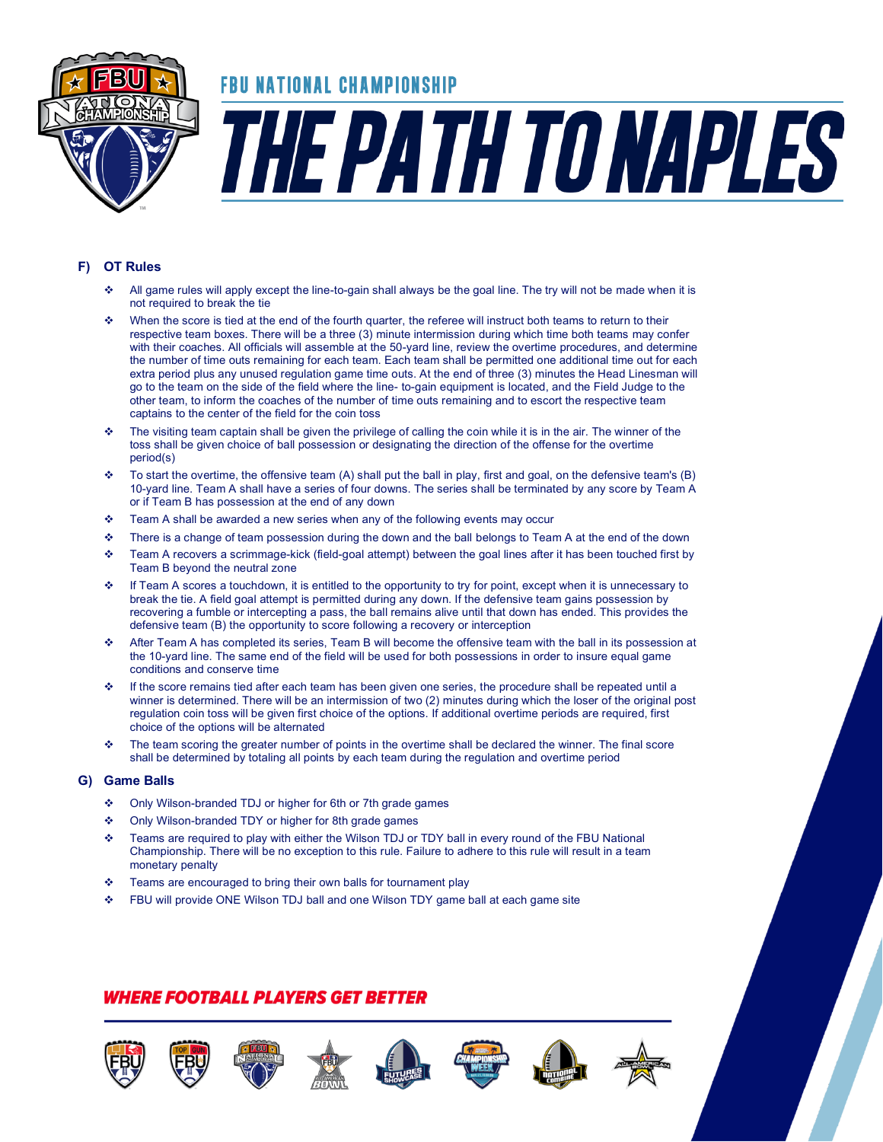

## FBU NATIONAL CHAMPIONSHIP

# THE PATH TO NAPLES

### **F) OT Rules**

- ❖ All game rules will apply except the line-to-gain shall always be the goal line. The try will not be made when it is not required to break the tie
- ❖ When the score is tied at the end of the fourth quarter, the referee will instruct both teams to return to their respective team boxes. There will be a three (3) minute intermission during which time both teams may confer with their coaches. All officials will assemble at the 50-yard line, review the overtime procedures, and determine the number of time outs remaining for each team. Each team shall be permitted one additional time out for each extra period plus any unused regulation game time outs. At the end of three (3) minutes the Head Linesman will go to the team on the side of the field where the line- to-gain equipment is located, and the Field Judge to the other team, to inform the coaches of the number of time outs remaining and to escort the respective team captains to the center of the field for the coin toss
- The visiting team captain shall be given the privilege of calling the coin while it is in the air. The winner of the toss shall be given choice of ball possession or designating the direction of the offense for the overtime period(s)
- ❖ To start the overtime, the offensive team (A) shall put the ball in play, first and goal, on the defensive team's (B) 10-yard line. Team A shall have a series of four downs. The series shall be terminated by any score by Team A or if Team B has possession at the end of any down
- ❖ Team A shall be awarded a new series when any of the following events may occur
- ❖ There is a change of team possession during the down and the ball belongs to Team A at the end of the down
- ❖ Team A recovers a scrimmage-kick (field-goal attempt) between the goal lines after it has been touched first by Team B beyond the neutral zone
- If Team A scores a touchdown, it is entitled to the opportunity to try for point, except when it is unnecessary to break the tie. A field goal attempt is permitted during any down. If the defensive team gains possession by recovering a fumble or intercepting a pass, the ball remains alive until that down has ended. This provides the defensive team (B) the opportunity to score following a recovery or interception
- ❖ After Team A has completed its series, Team B will become the offensive team with the ball in its possession at the 10-yard line. The same end of the field will be used for both possessions in order to insure equal game conditions and conserve time
- ❖ If the score remains tied after each team has been given one series, the procedure shall be repeated until a winner is determined. There will be an intermission of two (2) minutes during which the loser of the original post regulation coin toss will be given first choice of the options. If additional overtime periods are required, first choice of the options will be alternated
- ❖ The team scoring the greater number of points in the overtime shall be declared the winner. The final score shall be determined by totaling all points by each team during the regulation and overtime period

#### **G) Game Balls**

- ❖ Only Wilson-branded TDJ or higher for 6th or 7th grade games
- ❖ Only Wilson-branded TDY or higher for 8th grade games
- ❖ Teams are required to play with either the Wilson TDJ or TDY ball in every round of the FBU National Championship. There will be no exception to this rule. Failure to adhere to this rule will result in a team monetary penalty
- ❖ Teams are encouraged to bring their own balls for tournament play
- ❖ FBU will provide ONE Wilson TDJ ball and one Wilson TDY game ball at each game site

### *WHERE FOOTBALL PLAYERS GET BETTER*